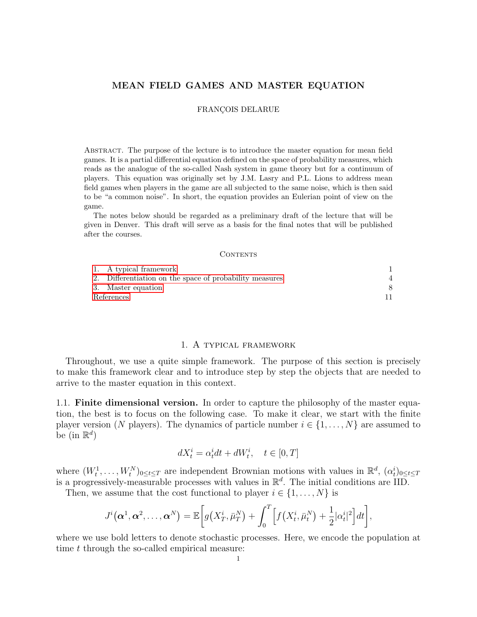# MEAN FIELD GAMES AND MASTER EQUATION

#### FRANÇOIS DELARUE

Abstract. The purpose of the lecture is to introduce the master equation for mean field games. It is a partial differential equation defined on the space of probability measures, which reads as the analogue of the so-called Nash system in game theory but for a continuum of players. This equation was originally set by J.M. Lasry and P.L. Lions to address mean field games when players in the game are all subjected to the same noise, which is then said to be "a common noise". In short, the equation provides an Eulerian point of view on the game.

The notes below should be regarded as a preliminary draft of the lecture that will be given in Denver. This draft will serve as a basis for the final notes that will be published after the courses.

#### <span id="page-0-1"></span>CONTENTS

|            | 1. A typical framework                                  |  |
|------------|---------------------------------------------------------|--|
|            | 2. Differentiation on the space of probability measures |  |
|            | 3. Master equation                                      |  |
| References |                                                         |  |

### 1. A typical framework

<span id="page-0-0"></span>Throughout, we use a quite simple framework. The purpose of this section is precisely to make this framework clear and to introduce step by step the objects that are needed to arrive to the master equation in this context.

1.1. Finite dimensional version. In order to capture the philosophy of the master equation, the best is to focus on the following case. To make it clear, we start with the finite player version (N players). The dynamics of particle number  $i \in \{1, \ldots, N\}$  are assumed to be (in  $\mathbb{R}^d$ )

$$
dX_t^i = \alpha_t^i dt + dW_t^i, \quad t \in [0, T]
$$

where  $(W_t^1, \ldots, W_t^N)_{0 \le t \le T}$  are independent Brownian motions with values in  $\mathbb{R}^d$ ,  $(\alpha_t^i)_{0 \le t \le T}$ is a progressively-measurable processes with values in  $\mathbb{R}^d$ . The initial conditions are IID.

Then, we assume that the cost functional to player  $i \in \{1, \ldots, N\}$  is

$$
J^{i}(\boldsymbol{\alpha}^{1},\boldsymbol{\alpha}^{2},\ldots,\boldsymbol{\alpha}^{N})=\mathbb{E}\bigg[g(X_{T}^{i},\bar{\mu}_{T}^{N})+\int_{0}^{T}\Big[f(X_{t}^{i},\bar{\mu}_{t}^{N})+\frac{1}{2}|\alpha_{t}^{i}|^{2}\Big]dt\bigg],
$$

where we use bold letters to denote stochastic processes. Here, we encode the population at time t through the so-called empirical measure: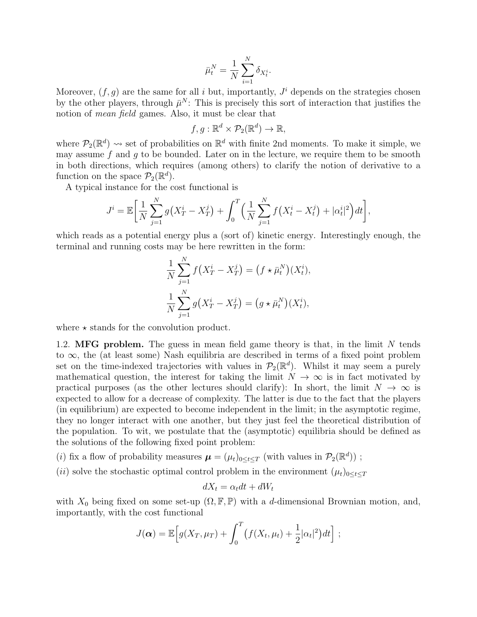$$
\bar{\mu}_t^N = \frac{1}{N} \sum_{i=1}^N \delta_{X_t^i}.
$$

Moreover,  $(f, g)$  are the same for all i but, importantly,  $J^i$  depends on the strategies chosen by the other players, through  $\bar{\mu}^N$ : This is precisely this sort of interaction that justifies the notion of mean field games. Also, it must be clear that

$$
f, g: \mathbb{R}^d \times \mathcal{P}_2(\mathbb{R}^d) \to \mathbb{R},
$$

where  $\mathcal{P}_2(\mathbb{R}^d) \rightsquigarrow$  set of probabilities on  $\mathbb{R}^d$  with finite 2nd moments. To make it simple, we may assume f and q to be bounded. Later on in the lecture, we require them to be smooth in both directions, which requires (among others) to clarify the notion of derivative to a function on the space  $\mathcal{P}_2(\mathbb{R}^d)$ .

A typical instance for the cost functional is

$$
J^{i} = \mathbb{E}\bigg[\frac{1}{N}\sum_{j=1}^{N}g(X_{T}^{i}-X_{T}^{j})+\int_{0}^{T}\Big(\frac{1}{N}\sum_{j=1}^{N}f(X_{t}^{i}-X_{t}^{j})+|\alpha_{t}^{i}|^{2}\Big)dt\bigg],
$$

which reads as a potential energy plus a (sort of) kinetic energy. Interestingly enough, the terminal and running costs may be here rewritten in the form:

$$
\frac{1}{N} \sum_{j=1}^{N} f(X_T^i - X_T^j) = (f \star \bar{\mu}_t^N)(X_t^i),
$$
  

$$
\frac{1}{N} \sum_{j=1}^{N} g(X_T^i - X_T^j) = (g \star \bar{\mu}_t^N)(X_t^i),
$$

where  $\star$  stands for the convolution product.

<span id="page-1-0"></span>1.2. MFG problem. The guess in mean field game theory is that, in the limit  $N$  tends to ∞, the (at least some) Nash equilibria are described in terms of a fixed point problem set on the time-indexed trajectories with values in  $\mathcal{P}_2(\mathbb{R}^d)$ . Whilst it may seem a purely mathematical question, the interest for taking the limit  $N \to \infty$  is in fact motivated by practical purposes (as the other lectures should clarify): In short, the limit  $N \to \infty$  is expected to allow for a decrease of complexity. The latter is due to the fact that the players (in equilibrium) are expected to become independent in the limit; in the asymptotic regime, they no longer interact with one another, but they just feel the theoretical distribution of the population. To wit, we postulate that the (asymptotic) equilibria should be defined as the solutions of the following fixed point problem:

(*i*) fix a flow of probability measures  $\boldsymbol{\mu} = (\mu_t)_{0 \le t \le T}$  (with values in  $\mathcal{P}_2(\mathbb{R}^d)$ );

(ii) solve the stochastic optimal control problem in the environment  $(\mu_t)_{0 \leq t \leq T}$ 

$$
dX_t = \alpha_t dt + dW_t
$$

with  $X_0$  being fixed on some set-up  $(\Omega, \mathbb{F}, \mathbb{P})$  with a d-dimensional Brownian motion, and, importantly, with the cost functional

$$
J(\boldsymbol{\alpha}) = \mathbb{E}\Big[g(X_T,\mu_T) + \int_0^T \big(f(X_t,\mu_t) + \frac{1}{2}|\alpha_t|^2\big)dt\Big] ;
$$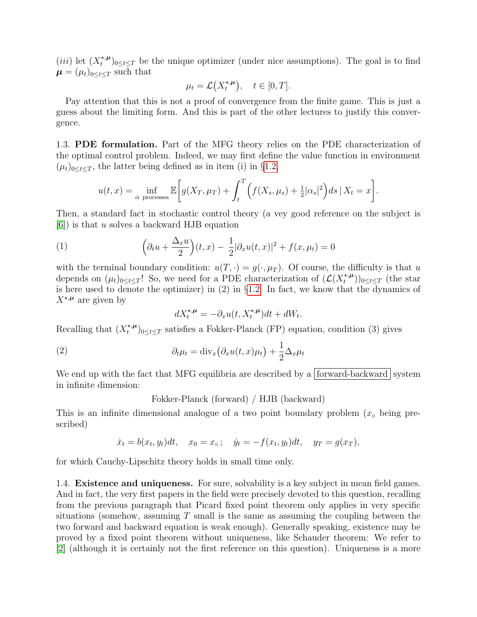$(iii)$  let  $(X_t^{*,\mu})$ <sup>\*,*u*</sup> $(t<sup>i</sup>)$ <sub>0≤t≤T</sub> be the unique optimizer (under nice assumptions). The goal is to find  $\mu = (\mu_t)_{0 \leq t \leq T}$  such that

$$
\mu_t = \mathcal{L}\big(X_t^{\star,\mu}\big), \quad t \in [0,T].
$$

Pay attention that this is not a proof of convergence from the finite game. This is just a guess about the limiting form. And this is part of the other lectures to justify this convergence.

1.3. PDE formulation. Part of the MFG theory relies on the PDE characterization of the optimal control problem. Indeed, we may first define the value function in environment  $(\mu_t)_{0 \leq t \leq T}$ , the latter being defined as in item (i) in §[1.2,](#page-1-0)

$$
u(t,x) = \inf_{\alpha \text{ processes}} \mathbb{E}\bigg[g(X_T,\mu_T) + \int_t^T \bigg(f(X_s,\mu_s) + \frac{1}{2}|\alpha_s|^2\bigg)ds \,|\, X_t = x\bigg].
$$

Then, a standard fact in stochastic control theory (a vey good reference on the subject is [\[6\]](#page-10-0)) is that u solves a backward HJB equation

<span id="page-2-0"></span>(1) 
$$
\left(\partial_t u + \frac{\Delta_x u}{2}\right)(t, x) - \frac{1}{2}|\partial_x u(t, x)|^2 + f(x, \mu_t) = 0
$$

with the terminal boundary condition:  $u(T, \cdot) = g(\cdot, \mu_T)$ . Of course, the difficulty is that u depends on  $(\mu_t)_{0 \leq t \leq T}$ ! So, we need for a PDE characterization of  $(\mathcal{L}(X_t^{*,\mu}))$  $(t^{*,\mu}_t))_{0\leq t\leq T}$  (the star is here used to denote the optimizer) in (2) in §[1.2.](#page-1-0) In fact, we know that the dynamics of  $X^{\star,\mu}$  are given by

$$
dX_t^{\star,\mu} = -\partial_x u(t,X_t^{\star,\mu})dt + dW_t.
$$

Recalling that  $(X_t^{*,\mu})$ <sup>\*,*u*</sup> $(t<sup>i</sup>)$ <sub>0≤t≤T</sub> satisfies a Fokker-Planck (FP) equation, condition (3) gives

<span id="page-2-1"></span>(2) 
$$
\partial_t \mu_t = \text{div}_x (\partial_x u(t, x) \mu_t) + \frac{1}{2} \Delta_x \mu_t
$$

We end up with the fact that MFG equilibria are described by a forward-backward system in infinite dimension:

Fokker-Planck (forward) / HJB (backward)

This is an infinite dimensional analogue of a two point boundary problem  $(x<sub>o</sub>$  being prescribed)

$$
\dot{x}_t = b(x_t, y_t)dt, \quad x_0 = x_\circ; \quad \dot{y}_t = -f(x_t, y_t)dt, \quad y_T = g(x_T),
$$

for which Cauchy-Lipschitz theory holds in small time only.

1.4. Existence and uniqueness. For sure, solvability is a key subject in mean field games. And in fact, the very first papers in the field were precisely devoted to this question, recalling from the previous paragraph that Picard fixed point theorem only applies in very specific situations (somehow, assuming  $T$  small is the same as assuming the coupling between the two forward and backward equation is weak enough). Generally speaking, existence may be proved by a fixed point theorem without uniqueness, like Schauder theorem: We refer to [\[2\]](#page-10-1) (although it is certainly not the first reference on this question). Uniqueness is a more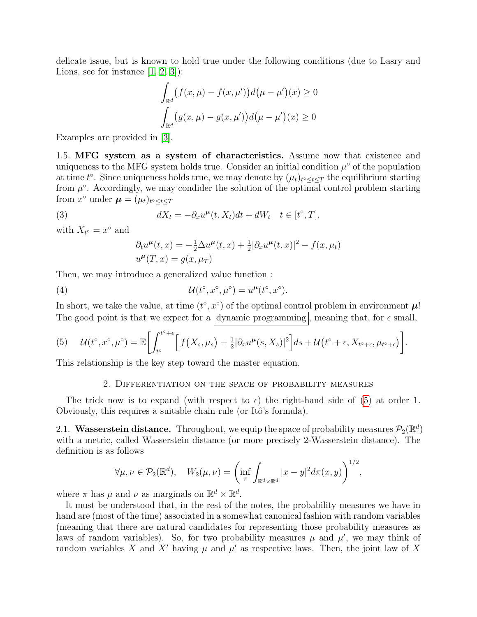delicate issue, but is known to hold true under the following conditions (due to Lasry and Lions, see for instance  $[1, 2, 3]$  $[1, 2, 3]$  $[1, 2, 3]$ :

$$
\int_{\mathbb{R}^d} (f(x,\mu) - f(x,\mu'))d(\mu - \mu')(x) \ge 0
$$

$$
\int_{\mathbb{R}^d} (g(x,\mu) - g(x,\mu'))d(\mu - \mu')(x) \ge 0
$$

Examples are provided in [\[3\]](#page-10-3).

1.5. MFG system as a system of characteristics. Assume now that existence and uniqueness to the MFG system holds true. Consider an initial condition  $\mu^{\circ}$  of the population at time  $t^{\circ}$ . Since uniqueness holds true, we may denote by  $(\mu_t)_{t^{\circ} \leq t \leq T}$  the equilibrium starting from  $\mu^{\circ}$ . Accordingly, we may condider the solution of the optimal control problem starting from  $x^{\circ}$  under  $\boldsymbol{\mu} = (\mu_t)_{t^{\circ} \leq t \leq T}$ 

(3) 
$$
dX_t = -\partial_x u^{\mu}(t, X_t)dt + dW_t \quad t \in [t^{\circ}, T],
$$

with  $X_{t^{\circ}} = x^{\circ}$  and

<span id="page-3-2"></span>
$$
\partial_t u^{\mu}(t, x) = -\frac{1}{2} \Delta u^{\mu}(t, x) + \frac{1}{2} |\partial_x u^{\mu}(t, x)|^2 - f(x, \mu_t)
$$
  

$$
u^{\mu}(T, x) = g(x, \mu_T)
$$

Then, we may introduce a generalized value function :

(4) 
$$
\mathcal{U}(t^{\circ}, x^{\circ}, \mu^{\circ}) = u^{\mu}(t^{\circ}, x^{\circ}).
$$

In short, we take the value, at time  $(t^{\circ}, x^{\circ})$  of the optimal control problem in environment  $\mu$ ! The good point is that we expect for a dynamic programming, meaning that, for  $\epsilon$  small,

<span id="page-3-1"></span>(5) 
$$
\mathcal{U}(t^{\circ}, x^{\circ}, \mu^{\circ}) = \mathbb{E}\bigg[\int_{t^{\circ}}^{t^{\circ}+\epsilon} \bigg[ f(X_s, \mu_s) + \frac{1}{2} |\partial_x u^{\mu}(s, X_s)|^2 \bigg] ds + \mathcal{U}(t^{\circ} + \epsilon, X_{t^{\circ}+\epsilon}, \mu_{t^{\circ}+\epsilon}) \bigg].
$$

<span id="page-3-0"></span>This relationship is the key step toward the master equation.

## 2. Differentiation on the space of probability measures

The trick now is to expand (with respect to  $\epsilon$ ) the right-hand side of [\(5\)](#page-3-1) at order 1. Obviously, this requires a suitable chain rule (or Itô's formula).

2.1. Wasserstein distance. Throughout, we equip the space of probability measures  $\mathcal{P}_2(\mathbb{R}^d)$ with a metric, called Wasserstein distance (or more precisely 2-Wasserstein distance). The definition is as follows

$$
\forall \mu, \nu \in \mathcal{P}_2(\mathbb{R}^d), \quad W_2(\mu, \nu) = \left( \inf_{\pi} \int_{\mathbb{R}^d \times \mathbb{R}^d} |x - y|^2 d\pi(x, y) \right)^{1/2},
$$

where  $\pi$  has  $\mu$  and  $\nu$  as marginals on  $\mathbb{R}^d \times \mathbb{R}^d$ .

It must be understood that, in the rest of the notes, the probability measures we have in hand are (most of the time) associated in a somewhat canonical fashion with random variables (meaning that there are natural candidates for representing those probability measures as laws of random variables). So, for two probability measures  $\mu$  and  $\mu'$ , we may think of random variables X and X' having  $\mu$  and  $\mu'$  as respective laws. Then, the joint law of X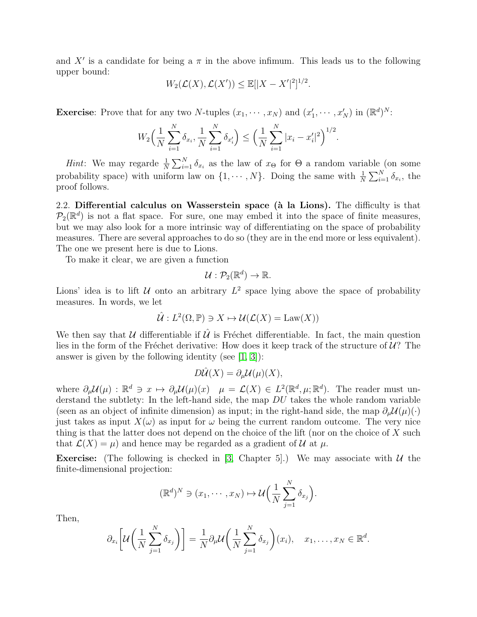and X' is a candidate for being a  $\pi$  in the above infimum. This leads us to the following upper bound:

$$
W_2(\mathcal{L}(X), \mathcal{L}(X')) \le \mathbb{E}[|X - X'|^2]^{1/2}.
$$

**Exercise**: Prove that for any two N-tuples  $(x_1, \dots, x_N)$  and  $(x'_1, \dots, x'_N)$  in  $(\mathbb{R}^d)^N$ :

$$
W_2\left(\frac{1}{N}\sum_{i=1}^N \delta_{x_i}, \frac{1}{N}\sum_{i=1}^N \delta_{x_i'}\right) \le \left(\frac{1}{N}\sum_{i=1}^N |x_i - x_i'|^2\right)^{1/2}.
$$

*Hint*: We may regarde  $\frac{1}{N} \sum_{i=1}^{N} \delta_{x_i}$  as the law of  $x_{\Theta}$  for  $\Theta$  a random variable (on some probability space) with uniform law on  $\{1, \dots, N\}$ . Doing the same with  $\frac{1}{N} \sum_{i=1}^{N} \delta_{x_i}$ , the proof follows.

2.2. Differential calculus on Wasserstein space ( $\hat{a}$  la Lions). The difficulty is that  $\mathcal{P}_2(\mathbb{R}^d)$  is not a flat space. For sure, one may embed it into the space of finite measures, but we may also look for a more intrinsic way of differentiating on the space of probability measures. There are several approaches to do so (they are in the end more or less equivalent). The one we present here is due to Lions.

To make it clear, we are given a function

$$
\mathcal{U}: \mathcal{P}_2(\mathbb{R}^d) \to \mathbb{R}.
$$

Lions' idea is to lift  $U$  onto an arbitrary  $L^2$  space lying above the space of probability measures. In words, we let

$$
\hat{\mathcal{U}}: L^2(\Omega, \mathbb{P}) \ni X \mapsto \mathcal{U}(\mathcal{L}(X) = \text{Law}(X))
$$

We then say that U differentiable if  $\hat{U}$  is Fréchet differentiable. In fact, the main question lies in the form of the Fréchet derivative: How does it keep track of the structure of  $\mathcal{U}$ ? The answer is given by the following identity (see  $[1, 3]$  $[1, 3]$ ):

$$
D\hat{\mathcal{U}}(X) = \partial_{\mu} \mathcal{U}(\mu)(X),
$$

where  $\partial_{\mu} \mathcal{U}(\mu) : \mathbb{R}^d \ni x \mapsto \partial_{\mu} \mathcal{U}(\mu)(x) \quad \mu = \mathcal{L}(X) \in L^2(\mathbb{R}^d, \mu; \mathbb{R}^d)$ . The reader must understand the subtlety: In the left-hand side, the map  $DU$  takes the whole random variable (seen as an object of infinite dimension) as input; in the right-hand side, the map  $\partial_{\mu} \mathcal{U}(\mu)(\cdot)$ just takes as input  $X(\omega)$  as input for  $\omega$  being the current random outcome. The very nice thing is that the latter does not depend on the choice of the lift (nor on the choice of  $X$  such that  $\mathcal{L}(X) = \mu$  and hence may be regarded as a gradient of U at  $\mu$ .

**Exercise:** (The following is checked in [\[3,](#page-10-3) Chapter 5].) We may associate with  $U$  the finite-dimensional projection:

$$
(\mathbb{R}^d)^N \ni (x_1, \cdots, x_N) \mapsto \mathcal{U}\Big(\frac{1}{N}\sum_{j=1}^N \delta_{x_j}\Big).
$$

Then,

$$
\partial_{x_i}\bigg[\mathcal{U}\bigg(\frac{1}{N}\sum_{j=1}^N\delta_{x_j}\bigg)\bigg]=\frac{1}{N}\partial_{\mu}\mathcal{U}\bigg(\frac{1}{N}\sum_{j=1}^N\delta_{x_j}\bigg)(x_i),\quad x_1,\ldots,x_N\in\mathbb{R}^d.
$$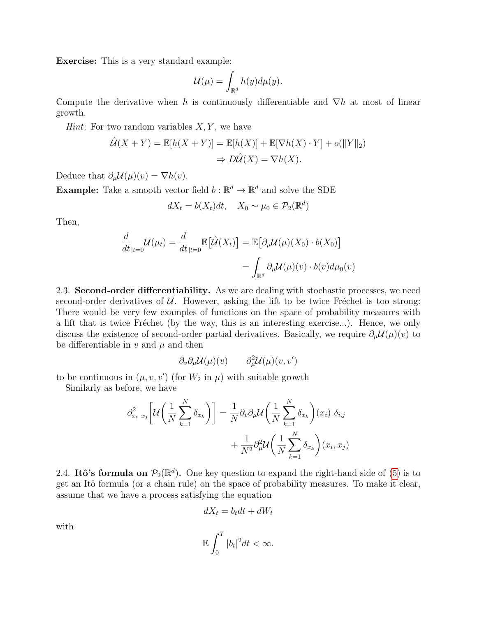Exercise: This is a very standard example:

$$
\mathcal{U}(\mu) = \int_{\mathbb{R}^d} h(y) d\mu(y).
$$

Compute the derivative when h is continuously differentiable and  $\nabla h$  at most of linear growth.

*Hint*: For two random variables  $X, Y$ , we have

$$
\hat{U}(X+Y) = \mathbb{E}[h(X+Y)] = \mathbb{E}[h(X)] + \mathbb{E}[\nabla h(X) \cdot Y] + o(\|Y\|_2)
$$
  
\n
$$
\Rightarrow D\hat{U}(X) = \nabla h(X).
$$

Deduce that  $\partial_{\mu} \mathcal{U}(\mu)(v) = \nabla h(v)$ .

**Example:** Take a smooth vector field  $b : \mathbb{R}^d \to \mathbb{R}^d$  and solve the SDE

$$
dX_t = b(X_t)dt, \quad X_0 \sim \mu_0 \in \mathcal{P}_2(\mathbb{R}^d)
$$

Then,

$$
\frac{d}{dt}_{|t=0} \mathcal{U}(\mu_t) = \frac{d}{dt}_{|t=0} \mathbb{E}\big[\hat{\mathcal{U}}(X_t)\big] = \mathbb{E}\big[\partial_\mu \mathcal{U}(\mu)(X_0) \cdot b(X_0)\big]
$$
\n
$$
= \int_{\mathbb{R}^d} \partial_\mu \mathcal{U}(\mu)(v) \cdot b(v) d\mu_0(v)
$$

2.3. Second-order differentiability. As we are dealing with stochastic processes, we need second-order derivatives of  $\mathcal U$ . However, asking the lift to be twice Fréchet is too strong: There would be very few examples of functions on the space of probability measures with a lift that is twice Fréchet (by the way, this is an interesting exercise...). Hence, we only discuss the existence of second-order partial derivatives. Basically, we require  $\partial_{\mu} \mathcal{U}(\mu)(v)$  to be differentiable in  $v$  and  $\mu$  and then

$$
\partial_v \partial_\mu \mathcal{U}(\mu)(v) \qquad \partial_\mu^2 \mathcal{U}(\mu)(v, v')
$$

to be continuous in  $(\mu, v, v')$  (for  $W_2$  in  $\mu$ ) with suitable growth

Similarly as before, we have

$$
\partial_{x_i}^2 z_j \left[ \mathcal{U} \left( \frac{1}{N} \sum_{k=1}^N \delta_{x_k} \right) \right] = \frac{1}{N} \partial_v \partial_\mu \mathcal{U} \left( \frac{1}{N} \sum_{k=1}^N \delta_{x_k} \right) (x_i) \delta_{i,j} + \frac{1}{N^2} \partial_\mu^2 \mathcal{U} \left( \frac{1}{N} \sum_{k=1}^N \delta_{x_k} \right) (x_i, x_j)
$$

<span id="page-5-0"></span>2.4. Itô's formula on  $\mathcal{P}_2(\mathbb{R}^d)$ . One key question to expand the right-hand side of [\(5\)](#page-3-1) is to get an Itô formula (or a chain rule) on the space of probability measures. To make it clear, assume that we have a process satisfying the equation

$$
dX_t = b_t dt + dW_t
$$

with

$$
\mathbb{E}\int_0^T |b_t|^2 dt < \infty.
$$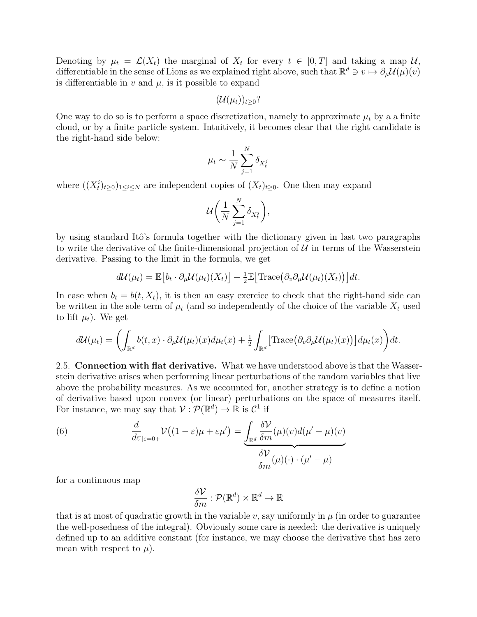Denoting by  $\mu_t = \mathcal{L}(X_t)$  the marginal of  $X_t$  for every  $t \in [0,T]$  and taking a map  $\mathcal{U},$ differentiable in the sense of Lions as we explained right above, such that  $\mathbb{R}^d \ni v \mapsto \partial_\mu \mathcal{U}(\mu)(v)$ is differentiable in  $v$  and  $\mu$ , is it possible to expand

$$
(\mathcal{U}(\mu_t))_{t\geq 0}?
$$

One way to do so is to perform a space discretization, namely to approximate  $\mu_t$  by a a finite cloud, or by a finite particle system. Intuitively, it becomes clear that the right candidate is the right-hand side below:

$$
\mu_t \sim \frac{1}{N} \sum_{j=1}^N \delta_{X_t^j}
$$

where  $((X_t^i)_{t\geq0})_{1\leq i\leq N}$  are independent copies of  $(X_t)_{t\geq0}$ . One then may expand

$$
\mathcal{U}\bigg(\frac{1}{N}\sum_{j=1}^N \delta_{X_t^j}\bigg),\,
$$

by using standard Itô's formula together with the dictionary given in last two paragraphs to write the derivative of the finite-dimensional projection of  $U$  in terms of the Wasserstein derivative. Passing to the limit in the formula, we get

$$
d\mathcal{U}(\mu_t) = \mathbb{E}\big[b_t \cdot \partial_\mu \mathcal{U}(\mu_t)(X_t)\big] + \tfrac{1}{2} \mathbb{E}\big[\text{Trace}\big(\partial_v \partial_\mu \mathcal{U}(\mu_t)(X_t)\big)\big]dt.
$$

In case when  $b_t = b(t, X_t)$ , it is then an easy exercice to check that the right-hand side can be written in the sole term of  $\mu_t$  (and so independently of the choice of the variable  $X_t$  used to lift  $\mu_t$ ). We get

$$
d\mathcal{U}(\mu_t) = \left( \int_{\mathbb{R}^d} b(t,x) \cdot \partial_{\mu} \mathcal{U}(\mu_t)(x) d\mu_t(x) + \frac{1}{2} \int_{\mathbb{R}^d} \left[ \text{Trace}(\partial_v \partial_{\mu} \mathcal{U}(\mu_t)(x)) \right] d\mu_t(x) \right) dt.
$$

2.5. Connection with flat derivative. What we have understood above is that the Wasserstein derivative arises when performing linear perturbations of the random variables that live above the probability measures. As we accounted for, another strategy is to define a notion of derivative based upon convex (or linear) perturbations on the space of measures itself. For instance, we may say that  $\mathcal{V}: \mathcal{P}(\mathbb{R}^d) \to \mathbb{R}$  is  $\mathcal{C}^1$  if

<span id="page-6-0"></span>(6) 
$$
\frac{d}{d\varepsilon_{|\varepsilon=0+}}\mathcal{V}((1-\varepsilon)\mu+\varepsilon\mu')=\underbrace{\int_{\mathbb{R}^d}\frac{\delta\mathcal{V}}{\delta m}(\mu)(v)d(\mu'-\mu)(v)}_{\delta m} \frac{\delta\mathcal{V}}{\delta m}(\mu)(\cdot)\cdot(\mu'-\mu)
$$

for a continuous map

$$
\frac{\delta \mathcal{V}}{\delta m} : \mathcal{P}(\mathbb{R}^d) \times \mathbb{R}^d \to \mathbb{R}
$$

that is at most of quadratic growth in the variable v, say uniformly in  $\mu$  (in order to guarantee the well-posedness of the integral). Obviously some care is needed: the derivative is uniquely defined up to an additive constant (for instance, we may choose the derivative that has zero mean with respect to  $\mu$ ).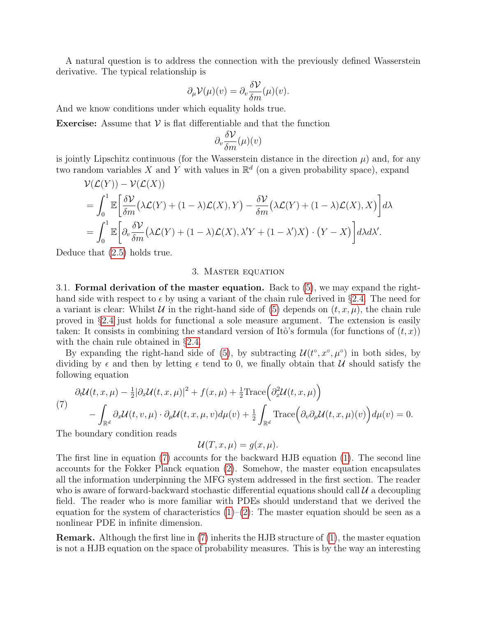A natural question is to address the connection with the previously defined Wasserstein derivative. The typical relationship is

$$
\partial_{\mu} \mathcal{V}(\mu)(v) = \partial_{v} \frac{\delta \mathcal{V}}{\delta m}(\mu)(v).
$$

And we know conditions under which equality holds true.

**Exercise:** Assume that  $V$  is flat differentiable and that the function

$$
\partial_v \frac{\delta \mathcal{V}}{\delta m}(\mu)(v)
$$

is jointly Lipschitz continuous (for the Wasserstein distance in the direction  $\mu$ ) and, for any two random variables X and Y with values in  $\mathbb{R}^d$  (on a given probability space), expand

$$
\mathcal{V}(\mathcal{L}(Y)) - \mathcal{V}(\mathcal{L}(X))
$$
\n
$$
= \int_0^1 \mathbb{E} \left[ \frac{\delta \mathcal{V}}{\delta m} \left( \lambda \mathcal{L}(Y) + (1 - \lambda) \mathcal{L}(X), Y \right) - \frac{\delta \mathcal{V}}{\delta m} \left( \lambda \mathcal{L}(Y) + (1 - \lambda) \mathcal{L}(X), X \right) \right] d\lambda
$$
\n
$$
= \int_0^1 \mathbb{E} \left[ \partial_v \frac{\delta \mathcal{V}}{\delta m} \left( \lambda \mathcal{L}(Y) + (1 - \lambda) \mathcal{L}(X), \lambda' Y + (1 - \lambda') X \right) \cdot (Y - X) \right] d\lambda d\lambda'.
$$

<span id="page-7-0"></span>Deduce that [\(2.5\)](#page-6-0) holds true.

## 3. Master equation

3.1. Formal derivation of the master equation. Back to [\(5\)](#page-3-1), we may expand the righthand side with respect to  $\epsilon$  by using a variant of the chain rule derived in §[2.4.](#page-5-0) The need for a variant is clear: Whilst U in the right-hand side of [\(5\)](#page-3-1) depends on  $(t, x, \mu)$ , the chain rule proved in §[2.4](#page-5-0) just holds for functional a sole measure argument. The extension is easily taken: It consists in combining the standard version of Itô's formula (for functions of  $(t, x)$ ) with the chain rule obtained in §[2.4.](#page-5-0)

By expanding the right-hand side of [\(5\)](#page-3-1), by subtracting  $\mathcal{U}(t^{\circ}, x^{\circ}, \mu^{\circ})$  in both sides, by dividing by  $\epsilon$  and then by letting  $\epsilon$  tend to 0, we finally obtain that U should satisfy the following equation

<span id="page-7-1"></span>
$$
\partial_t \mathcal{U}(t, x, \mu) - \frac{1}{2} |\partial_x \mathcal{U}(t, x, \mu)|^2 + f(x, \mu) + \frac{1}{2} \text{Trace} \left( \partial_x^2 \mathcal{U}(t, x, \mu) \right) - \int_{\mathbb{R}^d} \partial_x \mathcal{U}(t, v, \mu) \cdot \partial_\mu \mathcal{U}(t, x, \mu, v) d\mu(v) + \frac{1}{2} \int_{\mathbb{R}^d} \text{Trace} \left( \partial_v \partial_\mu \mathcal{U}(t, x, \mu)(v) \right) d\mu(v) = 0.
$$

The boundary condition reads

$$
\mathcal{U}(T, x, \mu) = g(x, \mu).
$$

The first line in equation [\(7\)](#page-7-1) accounts for the backward HJB equation [\(1\)](#page-2-0). The second line accounts for the Fokker Planck equation [\(2\)](#page-2-1). Somehow, the master equation encapsulates all the information underpinning the MFG system addressed in the first section. The reader who is aware of forward-backward stochastic differential equations should call  $\mathcal{U}$  a decoupling field. The reader who is more familiar with PDEs should understand that we derived the equation for the system of characteristics  $(1)-(2)$  $(1)-(2)$  $(1)-(2)$ : The master equation should be seen as a nonlinear PDE in infinite dimension.

Remark. Although the first line in [\(7\)](#page-7-1) inherits the HJB structure of [\(1\)](#page-2-0), the master equation is not a HJB equation on the space of probability measures. This is by the way an interesting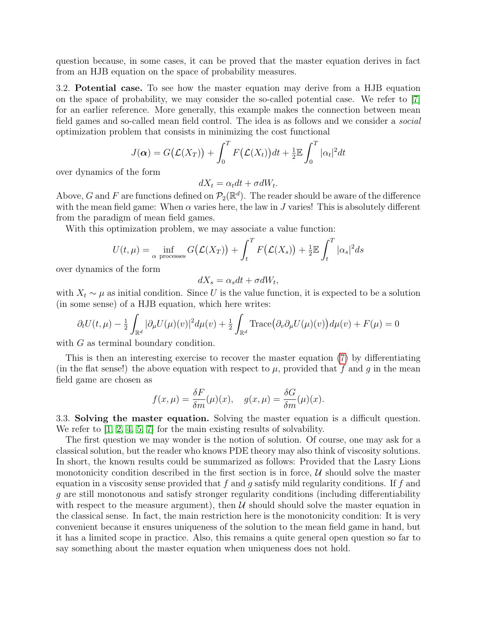question because, in some cases, it can be proved that the master equation derives in fact from an HJB equation on the space of probability measures.

3.2. Potential case. To see how the master equation may derive from a HJB equation on the space of probability, we may consider the so-called potential case. We refer to [\[7\]](#page-10-4) for an earlier reference. More generally, this example makes the connection between mean field games and so-called mean field control. The idea is as follows and we consider a social optimization problem that consists in minimizing the cost functional

$$
J(\boldsymbol{\alpha}) = G(\mathcal{L}(X_T)) + \int_0^T F(\mathcal{L}(X_t))dt + \frac{1}{2}\mathbb{E}\int_0^T |\alpha_t|^2dt
$$

over dynamics of the form

$$
dX_t = \alpha_t dt + \sigma dW_t.
$$

Above, G and F are functions defined on  $\mathcal{P}_2(\mathbb{R}^d)$ . The reader should be aware of the difference with the mean field game: When  $\alpha$  varies here, the law in J varies! This is absolutely different from the paradigm of mean field games.

With this optimization problem, we may associate a value function:

$$
U(t,\mu) = \inf_{\alpha \text{ processes}} G(\mathcal{L}(X_T)) + \int_t^T F(\mathcal{L}(X_s)) + \frac{1}{2} \mathbb{E} \int_t^T |\alpha_s|^2 ds
$$

over dynamics of the form

$$
dX_s = \alpha_s dt + \sigma dW_t,
$$

with  $X_t \sim \mu$  as initial condition. Since U is the value function, it is expected to be a solution (in some sense) of a HJB equation, which here writes:

$$
\partial_t U(t,\mu) - \frac{1}{2} \int_{\mathbb{R}^d} |\partial_\mu U(\mu)(v)|^2 d\mu(v) + \frac{1}{2} \int_{\mathbb{R}^d} \text{Trace} (\partial_v \partial_\mu U(\mu)(v)) d\mu(v) + F(\mu) = 0
$$

with G as terminal boundary condition.

This is then an interesting exercise to recover the master equation [\(7\)](#page-7-1) by differentiating (in the flat sense!) the above equation with respect to  $\mu$ , provided that f and q in the mean field game are chosen as

$$
f(x,\mu) = \frac{\delta F}{\delta m}(\mu)(x), \quad g(x,\mu) = \frac{\delta G}{\delta m}(\mu)(x).
$$

3.3. Solving the master equation. Solving the master equation is a difficult question. We refer to [\[1,](#page-10-2) [2,](#page-10-1) [4,](#page-10-5) [5,](#page-10-6) [7\]](#page-10-4) for the main existing results of solvability.

The first question we may wonder is the notion of solution. Of course, one may ask for a classical solution, but the reader who knows PDE theory may also think of viscosity solutions. In short, the known results could be summarized as follows: Provided that the Lasry Lions monotonicity condition described in the first section is in force,  $\mathcal U$  should solve the master equation in a viscosity sense provided that  $f$  and  $g$  satisfy mild regularity conditions. If  $f$  and g are still monotonous and satisfy stronger regularity conditions (including differentiability with respect to the measure argument), then  $U$  should should solve the master equation in the classical sense. In fact, the main restriction here is the monotonicity condition: It is very convenient because it ensures uniqueness of the solution to the mean field game in hand, but it has a limited scope in practice. Also, this remains a quite general open question so far to say something about the master equation when uniqueness does not hold.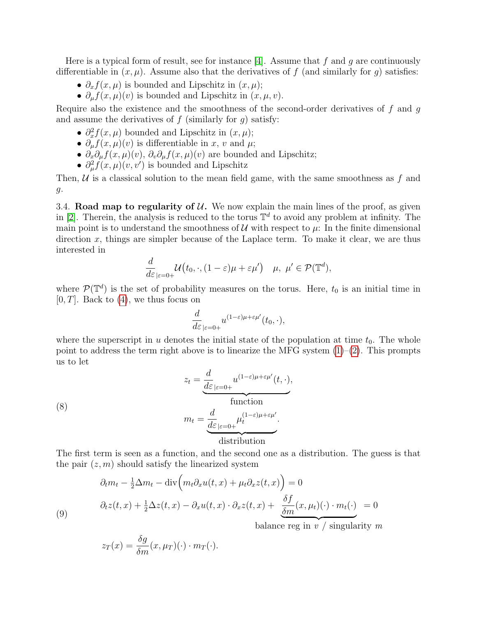Here is a typical form of result, see for instance [\[4\]](#page-10-5). Assume that f and q are continuously differentiable in  $(x, \mu)$ . Assume also that the derivatives of f (and similarly for g) satisfies:

- $\partial_x f(x,\mu)$  is bounded and Lipschitz in  $(x,\mu)$ ;
- $\partial_{\mu} f(x, \mu)(v)$  is bounded and Lipschitz in  $(x, \mu, v)$ .

Require also the existence and the smoothness of the second-order derivatives of  $f$  and  $g$ and assume the derivatives of  $f$  (similarly for  $g$ ) satisfy:

- $\partial_x^2 f(x,\mu)$  bounded and Lipschitz in  $(x,\mu)$ ;
- $\partial_{\mu} f(x, \mu)(v)$  is differentiable in x, v and  $\mu$ ;
- $\partial_x \partial_\mu f(x,\mu)(v)$ ,  $\partial_v \partial_\mu f(x,\mu)(v)$  are bounded and Lipschitz;
- $\partial_{\mu}^{2} f(x, \mu)(v, v')$  is bounded and Lipschitz

Then,  $U$  is a classical solution to the mean field game, with the same smoothness as f and g.

3.4. Road map to regularity of  $\mathcal{U}$ . We now explain the main lines of the proof, as given in [\[2\]](#page-10-1). Therein, the analysis is reduced to the torus  $\mathbb{T}^d$  to avoid any problem at infinity. The main point is to understand the smoothness of  $\mathcal U$  with respect to  $\mu$ : In the finite dimensional direction  $x$ , things are simpler because of the Laplace term. To make it clear, we are thus interested in

$$
\frac{d}{d\varepsilon}_{|\varepsilon=0+}\mathcal{U}\big(t_0,\cdot,(1-\varepsilon)\mu+\varepsilon\mu'\big)\quad\mu,\,\,\mu'\in\mathcal{P}(\mathbb{T}^d),
$$

where  $\mathcal{P}(\mathbb{T}^d)$  is the set of probability measures on the torus. Here,  $t_0$  is an initial time in  $[0, T]$ . Back to  $(4)$ , we thus focus on

$$
\frac{d}{d\varepsilon}_{|\varepsilon=0+}u^{(1-\varepsilon)\mu+\varepsilon\mu'}(t_0,\cdot),
$$

where the superscript in u denotes the initial state of the population at time  $t_0$ . The whole point to address the term right above is to linearize the MFG system  $(1)-(2)$  $(1)-(2)$  $(1)-(2)$ . This prompts us to let

<span id="page-9-1"></span>(8)  

$$
z_{t} = \underbrace{\frac{d}{d\varepsilon}_{|\varepsilon=0+}} u^{(1-\varepsilon)\mu+\varepsilon\mu'}(t,\cdot),
$$

$$
m_{t} = \underbrace{\frac{d}{d\varepsilon}_{|\varepsilon=0+}} \mu_{t}^{(1-\varepsilon)\mu+\varepsilon\mu'}.
$$
distribution

The first term is seen as a function, and the second one as a distribution. The guess is that the pair  $(z, m)$  should satisfy the linearized system

<span id="page-9-0"></span>(9)  
\n
$$
\partial_t m_t - \frac{1}{2} \Delta m_t - \text{div} \left( m_t \partial_x u(t, x) + \mu_t \partial_x z(t, x) \right) = 0
$$
\n
$$
\partial_t z(t, x) + \frac{1}{2} \Delta z(t, x) - \partial_x u(t, x) \cdot \partial_x z(t, x) + \underbrace{\frac{\delta f}{\delta m}(x, \mu_t)(\cdot) \cdot m_t(\cdot)}_{\text{balance reg in } v / \text{ singularity } m}
$$

 $z_T(x) = \frac{\delta g}{\delta m}(x,\mu_T)(\cdot) \cdot m_T(\cdot).$